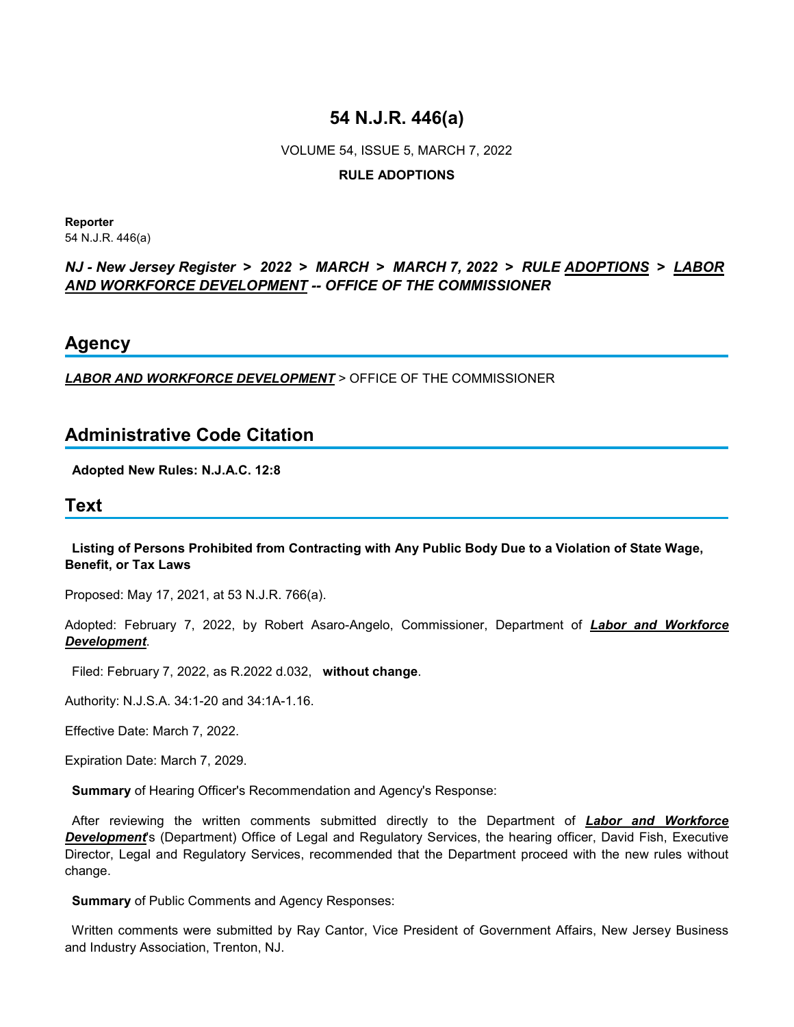VOLUME 54, ISSUE 5, MARCH 7, 2022

## **RULE ADOPTIONS**

**Reporter** 54 N.J.R. 446(a)

## *NJ - New Jersey Register* **>** *2022* **>** *MARCH* **>** *MARCH 7, 2022* **>** *RULE ADOPTIONS* **>** *LABOR AND WORKFORCE DEVELOPMENT -- OFFICE OF THE COMMISSIONER*

## **Agency**

*LABOR AND WORKFORCE DEVELOPMENT* > OFFICE OF THE COMMISSIONER

## **Administrative Code Citation**

**Adopted New Rules: N.J.A.C. 12:8**

## **Text**

 **Listing of Persons Prohibited from Contracting with Any Public Body Due to a Violation of State Wage, Benefit, or Tax Laws**

Proposed: May 17, 2021, at 53 N.J.R. 766(a).

Adopted: February 7, 2022, by Robert Asaro-Angelo, Commissioner, Department of *Labor and Workforce Development*.

Filed: February 7, 2022, as R.2022 d.032, **without change**.

Authority: N.J.S.A. 34:1-20 and 34:1A-1.16.

Effective Date: March 7, 2022.

Expiration Date: March 7, 2029.

**Summary** of Hearing Officer's Recommendation and Agency's Response:

After reviewing the written comments submitted directly to the Department of *Labor and Workforce Development*'s (Department) Office of Legal and Regulatory Services, the hearing officer, David Fish, Executive Director, Legal and Regulatory Services, recommended that the Department proceed with the new rules without change.

**Summary** of Public Comments and Agency Responses:

 Written comments were submitted by Ray Cantor, Vice President of Government Affairs, New Jersey Business and Industry Association, Trenton, NJ.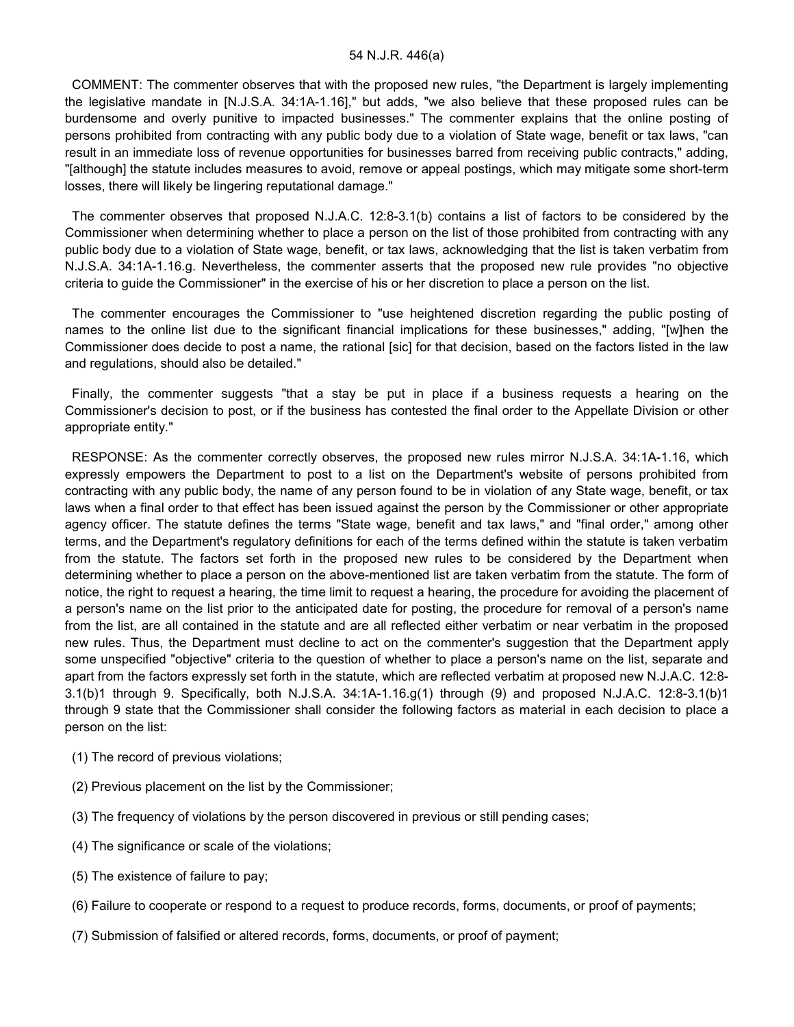COMMENT: The commenter observes that with the proposed new rules, "the Department is largely implementing the legislative mandate in [N.J.S.A. 34:1A-1.16]," but adds, "we also believe that these proposed rules can be burdensome and overly punitive to impacted businesses." The commenter explains that the online posting of persons prohibited from contracting with any public body due to a violation of State wage, benefit or tax laws, "can result in an immediate loss of revenue opportunities for businesses barred from receiving public contracts," adding, "[although] the statute includes measures to avoid, remove or appeal postings, which may mitigate some short-term losses, there will likely be lingering reputational damage."

 The commenter observes that proposed N.J.A.C. 12:8-3.1(b) contains a list of factors to be considered by the Commissioner when determining whether to place a person on the list of those prohibited from contracting with any public body due to a violation of State wage, benefit, or tax laws, acknowledging that the list is taken verbatim from N.J.S.A. 34:1A-1.16.g. Nevertheless, the commenter asserts that the proposed new rule provides "no objective criteria to guide the Commissioner" in the exercise of his or her discretion to place a person on the list.

 The commenter encourages the Commissioner to "use heightened discretion regarding the public posting of names to the online list due to the significant financial implications for these businesses," adding, "[w]hen the Commissioner does decide to post a name, the rational [sic] for that decision, based on the factors listed in the law and regulations, should also be detailed."

 Finally, the commenter suggests "that a stay be put in place if a business requests a hearing on the Commissioner's decision to post, or if the business has contested the final order to the Appellate Division or other appropriate entity."

 RESPONSE: As the commenter correctly observes, the proposed new rules mirror N.J.S.A. 34:1A-1.16, which expressly empowers the Department to post to a list on the Department's website of persons prohibited from contracting with any public body, the name of any person found to be in violation of any State wage, benefit, or tax laws when a final order to that effect has been issued against the person by the Commissioner or other appropriate agency officer. The statute defines the terms "State wage, benefit and tax laws," and "final order," among other terms, and the Department's regulatory definitions for each of the terms defined within the statute is taken verbatim from the statute. The factors set forth in the proposed new rules to be considered by the Department when determining whether to place a person on the above-mentioned list are taken verbatim from the statute. The form of notice, the right to request a hearing, the time limit to request a hearing, the procedure for avoiding the placement of a person's name on the list prior to the anticipated date for posting, the procedure for removal of a person's name from the list, are all contained in the statute and are all reflected either verbatim or near verbatim in the proposed new rules. Thus, the Department must decline to act on the commenter's suggestion that the Department apply some unspecified "objective" criteria to the question of whether to place a person's name on the list, separate and apart from the factors expressly set forth in the statute, which are reflected verbatim at proposed new N.J.A.C. 12:8- 3.1(b)1 through 9. Specifically, both N.J.S.A. 34:1A-1.16.g(1) through (9) and proposed N.J.A.C. 12:8-3.1(b)1 through 9 state that the Commissioner shall consider the following factors as material in each decision to place a person on the list:

- (1) The record of previous violations;
- (2) Previous placement on the list by the Commissioner;
- (3) The frequency of violations by the person discovered in previous or still pending cases;
- (4) The significance or scale of the violations;
- (5) The existence of failure to pay;
- (6) Failure to cooperate or respond to a request to produce records, forms, documents, or proof of payments;
- (7) Submission of falsified or altered records, forms, documents, or proof of payment;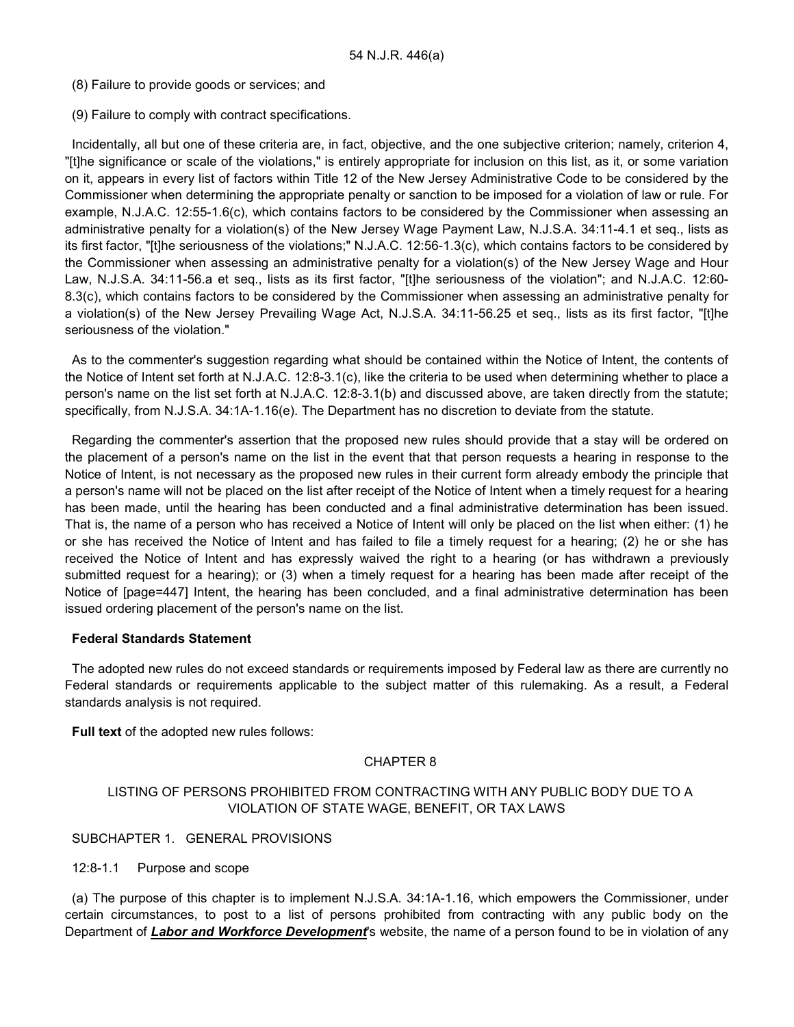- (8) Failure to provide goods or services; and
- (9) Failure to comply with contract specifications.

 Incidentally, all but one of these criteria are, in fact, objective, and the one subjective criterion; namely, criterion 4, "[t]he significance or scale of the violations," is entirely appropriate for inclusion on this list, as it, or some variation on it, appears in every list of factors within Title 12 of the New Jersey Administrative Code to be considered by the Commissioner when determining the appropriate penalty or sanction to be imposed for a violation of law or rule. For example, N.J.A.C. 12:55-1.6(c), which contains factors to be considered by the Commissioner when assessing an administrative penalty for a violation(s) of the New Jersey Wage Payment Law, N.J.S.A. 34:11-4.1 et seq., lists as its first factor, "[t]he seriousness of the violations;" N.J.A.C. 12:56-1.3(c), which contains factors to be considered by the Commissioner when assessing an administrative penalty for a violation(s) of the New Jersey Wage and Hour Law, N.J.S.A. 34:11-56.a et seq., lists as its first factor, "[t]he seriousness of the violation"; and N.J.A.C. 12:60- 8.3(c), which contains factors to be considered by the Commissioner when assessing an administrative penalty for a violation(s) of the New Jersey Prevailing Wage Act, N.J.S.A. 34:11-56.25 et seq., lists as its first factor, "[t]he seriousness of the violation."

 As to the commenter's suggestion regarding what should be contained within the Notice of Intent, the contents of the Notice of Intent set forth at N.J.A.C. 12:8-3.1(c), like the criteria to be used when determining whether to place a person's name on the list set forth at N.J.A.C. 12:8-3.1(b) and discussed above, are taken directly from the statute; specifically, from N.J.S.A. 34:1A-1.16(e). The Department has no discretion to deviate from the statute.

 Regarding the commenter's assertion that the proposed new rules should provide that a stay will be ordered on the placement of a person's name on the list in the event that that person requests a hearing in response to the Notice of Intent, is not necessary as the proposed new rules in their current form already embody the principle that a person's name will not be placed on the list after receipt of the Notice of Intent when a timely request for a hearing has been made, until the hearing has been conducted and a final administrative determination has been issued. That is, the name of a person who has received a Notice of Intent will only be placed on the list when either: (1) he or she has received the Notice of Intent and has failed to file a timely request for a hearing; (2) he or she has received the Notice of Intent and has expressly waived the right to a hearing (or has withdrawn a previously submitted request for a hearing); or (3) when a timely request for a hearing has been made after receipt of the Notice of [page=447] Intent, the hearing has been concluded, and a final administrative determination has been issued ordering placement of the person's name on the list.

### **Federal Standards Statement**

 The adopted new rules do not exceed standards or requirements imposed by Federal law as there are currently no Federal standards or requirements applicable to the subject matter of this rulemaking. As a result, a Federal standards analysis is not required.

**Full text** of the adopted new rules follows:

#### CHAPTER 8

### LISTING OF PERSONS PROHIBITED FROM CONTRACTING WITH ANY PUBLIC BODY DUE TO A VIOLATION OF STATE WAGE, BENEFIT, OR TAX LAWS

### SUBCHAPTER 1. GENERAL PROVISIONS

12:8-1.1 Purpose and scope

 (a) The purpose of this chapter is to implement N.J.S.A. 34:1A-1.16, which empowers the Commissioner, under certain circumstances, to post to a list of persons prohibited from contracting with any public body on the Department of *Labor and Workforce Development*'s website, the name of a person found to be in violation of any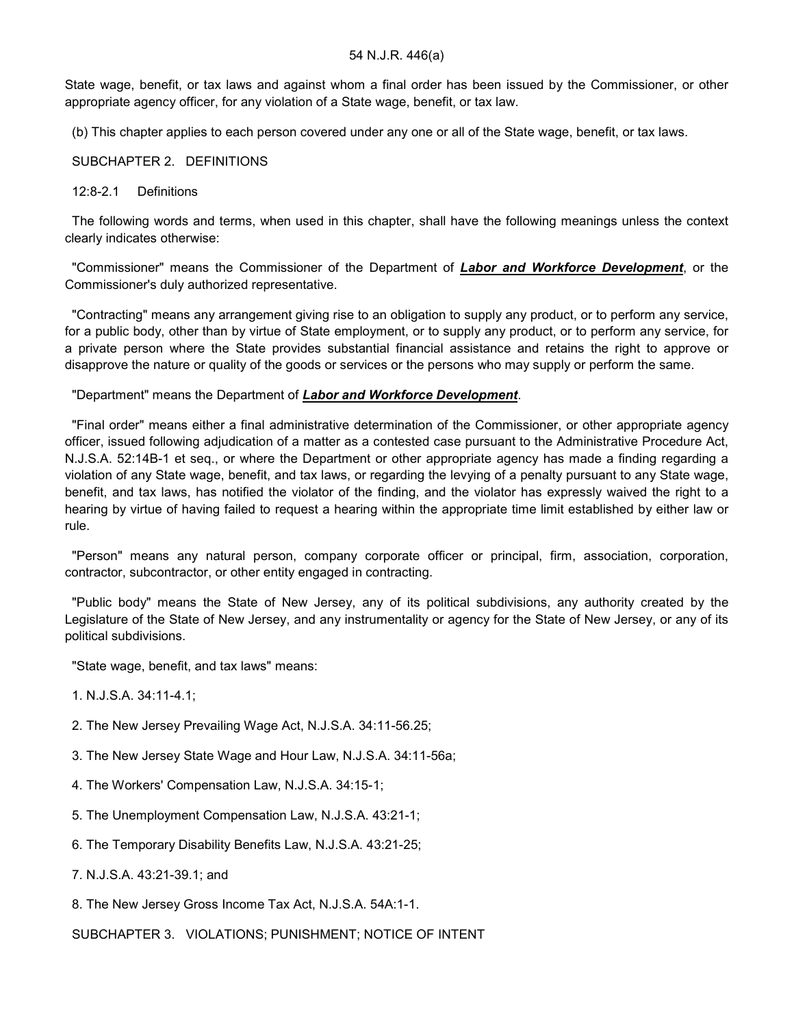State wage, benefit, or tax laws and against whom a final order has been issued by the Commissioner, or other appropriate agency officer, for any violation of a State wage, benefit, or tax law.

(b) This chapter applies to each person covered under any one or all of the State wage, benefit, or tax laws.

### SUBCHAPTER 2. DEFINITIONS

#### 12:8-2.1 Definitions

 The following words and terms, when used in this chapter, shall have the following meanings unless the context clearly indicates otherwise:

 "Commissioner" means the Commissioner of the Department of *Labor and Workforce Development*, or the Commissioner's duly authorized representative.

 "Contracting" means any arrangement giving rise to an obligation to supply any product, or to perform any service, for a public body, other than by virtue of State employment, or to supply any product, or to perform any service, for a private person where the State provides substantial financial assistance and retains the right to approve or disapprove the nature or quality of the goods or services or the persons who may supply or perform the same.

"Department" means the Department of *Labor and Workforce Development*.

 "Final order" means either a final administrative determination of the Commissioner, or other appropriate agency officer, issued following adjudication of a matter as a contested case pursuant to the Administrative Procedure Act, N.J.S.A. 52:14B-1 et seq., or where the Department or other appropriate agency has made a finding regarding a violation of any State wage, benefit, and tax laws, or regarding the levying of a penalty pursuant to any State wage, benefit, and tax laws, has notified the violator of the finding, and the violator has expressly waived the right to a hearing by virtue of having failed to request a hearing within the appropriate time limit established by either law or rule.

"Person" means any natural person, company corporate officer or principal, firm, association, corporation, contractor, subcontractor, or other entity engaged in contracting.

 "Public body" means the State of New Jersey, any of its political subdivisions, any authority created by the Legislature of the State of New Jersey, and any instrumentality or agency for the State of New Jersey, or any of its political subdivisions.

"State wage, benefit, and tax laws" means:

- 1. N.J.S.A. 34:11-4.1;
- 2. The New Jersey Prevailing Wage Act, N.J.S.A. 34:11-56.25;
- 3. The New Jersey State Wage and Hour Law, N.J.S.A. 34:11-56a;
- 4. The Workers' Compensation Law, N.J.S.A. 34:15-1;
- 5. The Unemployment Compensation Law, N.J.S.A. 43:21-1;
- 6. The Temporary Disability Benefits Law, N.J.S.A. 43:21-25;
- 7. N.J.S.A. 43:21-39.1; and
- 8. The New Jersey Gross Income Tax Act, N.J.S.A. 54A:1-1.

SUBCHAPTER 3. VIOLATIONS; PUNISHMENT; NOTICE OF INTENT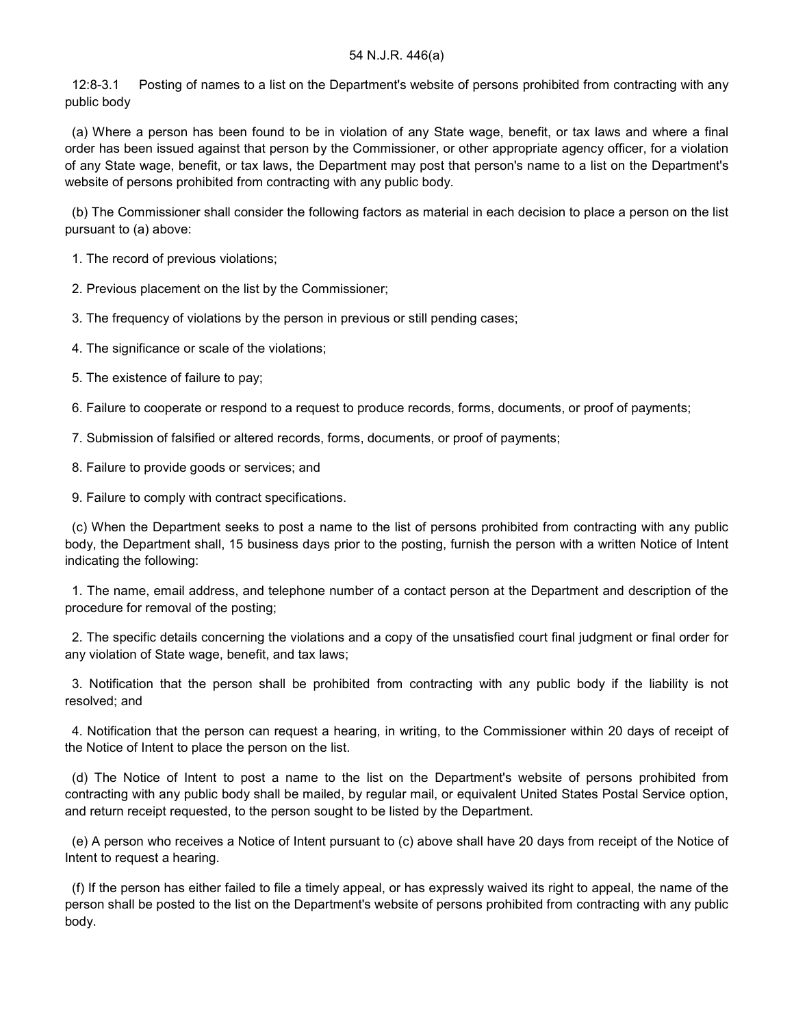12:8-3.1 Posting of names to a list on the Department's website of persons prohibited from contracting with any public body

 (a) Where a person has been found to be in violation of any State wage, benefit, or tax laws and where a final order has been issued against that person by the Commissioner, or other appropriate agency officer, for a violation of any State wage, benefit, or tax laws, the Department may post that person's name to a list on the Department's website of persons prohibited from contracting with any public body.

 (b) The Commissioner shall consider the following factors as material in each decision to place a person on the list pursuant to (a) above:

1. The record of previous violations;

2. Previous placement on the list by the Commissioner;

3. The frequency of violations by the person in previous or still pending cases;

4. The significance or scale of the violations;

5. The existence of failure to pay;

6. Failure to cooperate or respond to a request to produce records, forms, documents, or proof of payments;

7. Submission of falsified or altered records, forms, documents, or proof of payments;

8. Failure to provide goods or services; and

9. Failure to comply with contract specifications.

 (c) When the Department seeks to post a name to the list of persons prohibited from contracting with any public body, the Department shall, 15 business days prior to the posting, furnish the person with a written Notice of Intent indicating the following:

 1. The name, email address, and telephone number of a contact person at the Department and description of the procedure for removal of the posting;

 2. The specific details concerning the violations and a copy of the unsatisfied court final judgment or final order for any violation of State wage, benefit, and tax laws;

 3. Notification that the person shall be prohibited from contracting with any public body if the liability is not resolved; and

 4. Notification that the person can request a hearing, in writing, to the Commissioner within 20 days of receipt of the Notice of Intent to place the person on the list.

 (d) The Notice of Intent to post a name to the list on the Department's website of persons prohibited from contracting with any public body shall be mailed, by regular mail, or equivalent United States Postal Service option, and return receipt requested, to the person sought to be listed by the Department.

 (e) A person who receives a Notice of Intent pursuant to (c) above shall have 20 days from receipt of the Notice of Intent to request a hearing.

 (f) If the person has either failed to file a timely appeal, or has expressly waived its right to appeal, the name of the person shall be posted to the list on the Department's website of persons prohibited from contracting with any public body.